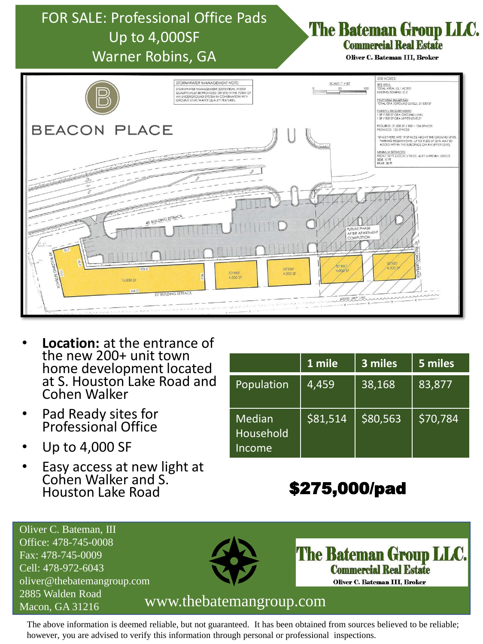

- **Location:** at the entrance of the new 200+ unit town home development located at S. Houston Lake Road and Cohen Walker
- Pad Ready sites for Professional Office
- Up to 4,000 SF
- Easy access at new light at Cohen Walker and S. Houston Lake Road

|                                      | 1 mile   | 3 miles  | 5 miles  |
|--------------------------------------|----------|----------|----------|
| Population                           | 4,459    | 38,168   | 83,877   |
| <b>Median</b><br>Household<br>Income | \$81,514 | \$80,563 | \$70,784 |

# \$275,000/pad

**The Bateman Group LLC. Commercial Real Estate** Oliver C. Bateman III, Broker



The above information is deemed reliable, but not guaranteed. It has been obtained from sources believed to be reliable; however, you are advised to verify this information through personal or professional inspections.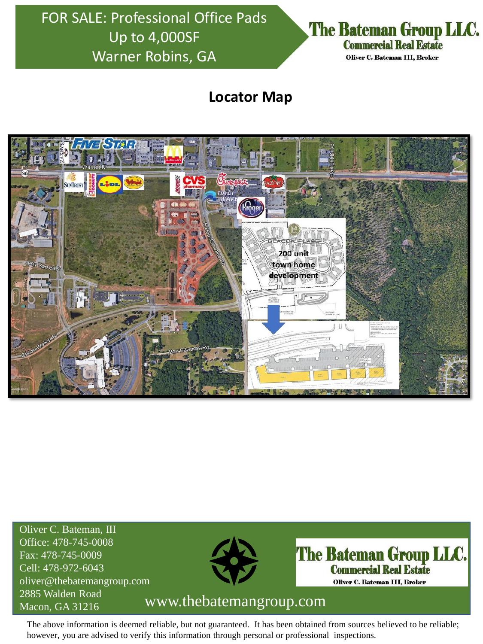FOR SALE: Professional Office Pads Up to 4,000SF Warner Robins, GA



### **Locator Map**



Oliver C. Bateman, III Office: 478-745-0008 Fax: 478-745-0009 Cell: 478-972-6043 oliver@thebatemangroup.com 2885 Walden Road



**The Bateman Group LLC. Commercial Real Estate** Oliver C. Bateman III, Broker

### Macon, GA 31216 www.thebatemangroup.com

The above information is deemed reliable, but not guaranteed. It has been obtained from sources believed to be reliable; however, you are advised to verify this information through personal or professional inspections.